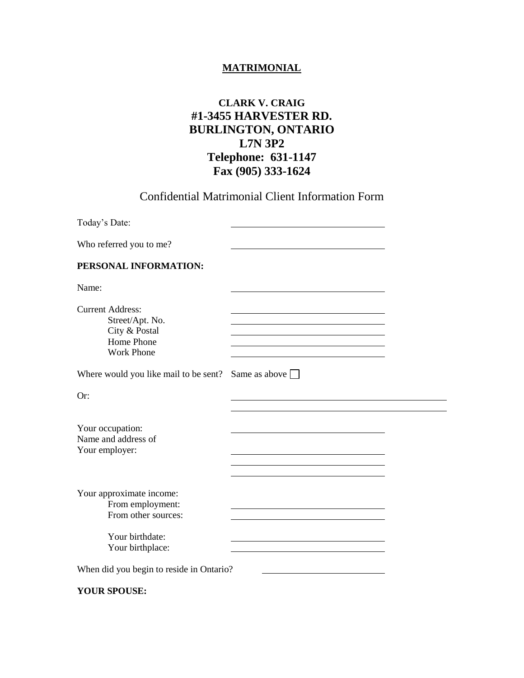## **MATRIMONIAL**

## **CLARK V. CRAIG #1-3455 HARVESTER RD. BURLINGTON, ONTARIO L7N 3P2 Telephone: 631-1147 Fax (905) 333-1624**

Confidential Matrimonial Client Information Form

| Today's Date:                                                                                  |               |  |
|------------------------------------------------------------------------------------------------|---------------|--|
| Who referred you to me?                                                                        |               |  |
| PERSONAL INFORMATION:                                                                          |               |  |
| Name:                                                                                          |               |  |
| <b>Current Address:</b><br>Street/Apt. No.<br>City & Postal<br>Home Phone<br><b>Work Phone</b> |               |  |
| Where would you like mail to be sent?                                                          | Same as above |  |
| Or:                                                                                            |               |  |
| Your occupation:<br>Name and address of<br>Your employer:                                      |               |  |
| Your approximate income:<br>From employment:<br>From other sources:                            |               |  |
| Your birthdate:<br>Your birthplace:                                                            |               |  |
| When did you begin to reside in Ontario?                                                       |               |  |

**YOUR SPOUSE:**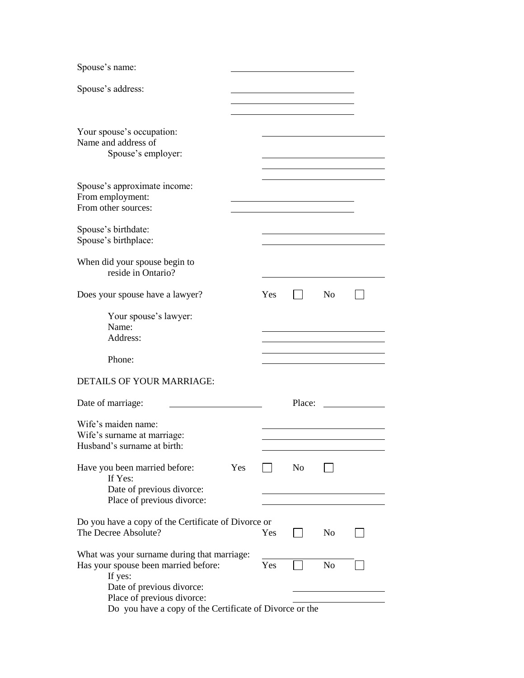| Spouse's name:                                                                                                                                                                                                       |     |                |                |  |
|----------------------------------------------------------------------------------------------------------------------------------------------------------------------------------------------------------------------|-----|----------------|----------------|--|
| Spouse's address:                                                                                                                                                                                                    |     |                |                |  |
|                                                                                                                                                                                                                      |     |                |                |  |
| Your spouse's occupation:<br>Name and address of<br>Spouse's employer:                                                                                                                                               |     |                |                |  |
| Spouse's approximate income:<br>From employment:<br>From other sources:                                                                                                                                              |     |                |                |  |
| Spouse's birthdate:<br>Spouse's birthplace:                                                                                                                                                                          |     |                |                |  |
| When did your spouse begin to<br>reside in Ontario?                                                                                                                                                                  |     |                |                |  |
| Does your spouse have a lawyer?                                                                                                                                                                                      | Yes |                | N <sub>0</sub> |  |
| Your spouse's lawyer:<br>Name:<br>Address:                                                                                                                                                                           |     |                |                |  |
| Phone:                                                                                                                                                                                                               |     |                |                |  |
| DETAILS OF YOUR MARRIAGE:                                                                                                                                                                                            |     |                |                |  |
| Date of marriage:                                                                                                                                                                                                    |     | Place:         |                |  |
| Wife's maiden name:<br>Wife's surname at marriage:<br>Husband's surname at birth:                                                                                                                                    |     |                |                |  |
| Have you been married before:<br>Yes<br>If Yes:<br>Date of previous divorce:<br>Place of previous divorce:                                                                                                           |     | N <sub>o</sub> |                |  |
| Do you have a copy of the Certificate of Divorce or<br>The Decree Absolute?                                                                                                                                          | Yes |                | N <sub>0</sub> |  |
| What was your surname during that marriage:<br>Has your spouse been married before:<br>If yes:<br>Date of previous divorce:<br>Place of previous divorce:<br>Do you have a copy of the Certificate of Divorce or the | Yes |                | N <sub>o</sub> |  |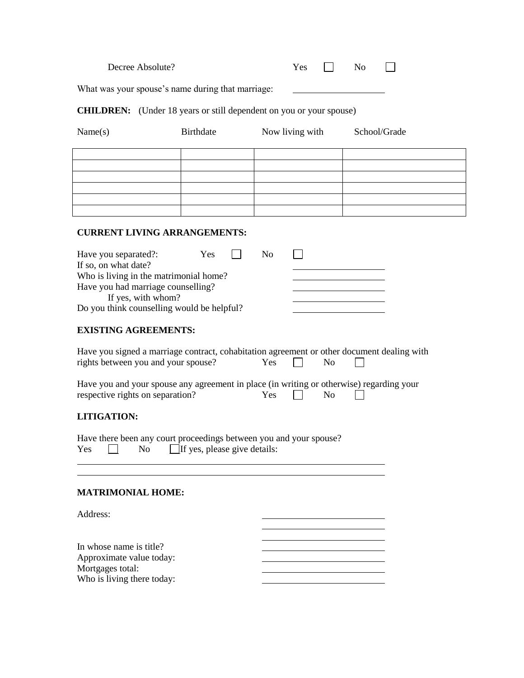| What was your spouse's name during that marriage:        |                                     |                                                                                                                   |              |
|----------------------------------------------------------|-------------------------------------|-------------------------------------------------------------------------------------------------------------------|--------------|
|                                                          |                                     |                                                                                                                   |              |
|                                                          |                                     | <b>CHILDREN:</b> (Under 18 years or still dependent on you or your spouse)                                        |              |
| Name(s)                                                  | <b>Birthdate</b>                    | Now living with                                                                                                   | School/Grade |
|                                                          |                                     |                                                                                                                   |              |
|                                                          |                                     |                                                                                                                   |              |
|                                                          |                                     |                                                                                                                   |              |
|                                                          |                                     |                                                                                                                   |              |
|                                                          |                                     |                                                                                                                   |              |
| <b>CURRENT LIVING ARRANGEMENTS:</b>                      |                                     |                                                                                                                   |              |
|                                                          |                                     | N <sub>o</sub><br>$\Box$                                                                                          |              |
| Have you separated?:<br>If so, on what date?             | Yes                                 |                                                                                                                   |              |
| Who is living in the matrimonial home?                   |                                     |                                                                                                                   |              |
| Have you had marriage counselling?<br>If yes, with whom? |                                     |                                                                                                                   |              |
| Do you think counselling would be helpful?               |                                     |                                                                                                                   |              |
| <b>EXISTING AGREEMENTS:</b>                              |                                     |                                                                                                                   |              |
|                                                          |                                     |                                                                                                                   |              |
|                                                          |                                     | Have you signed a marriage contract, cohabitation agreement or other document dealing with                        |              |
| rights between you and your spouse?                      |                                     | Yes<br>$\mathbf{I}$<br>N <sub>o</sub>                                                                             |              |
|                                                          |                                     |                                                                                                                   |              |
| respective rights on separation?                         |                                     | Have you and your spouse any agreement in place (in writing or otherwise) regarding your<br>Yes<br>N <sub>0</sub> |              |
| <b>LITIGATION:</b>                                       |                                     |                                                                                                                   |              |
|                                                          |                                     |                                                                                                                   |              |
| Yes<br>N <sub>0</sub>                                    | $\Box$ If yes, please give details: | Have there been any court proceedings between you and your spouse?                                                |              |
|                                                          |                                     |                                                                                                                   |              |
|                                                          |                                     |                                                                                                                   |              |
| <b>MATRIMONIAL HOME:</b>                                 |                                     |                                                                                                                   |              |
| Address:                                                 |                                     |                                                                                                                   |              |
|                                                          |                                     |                                                                                                                   |              |
|                                                          |                                     |                                                                                                                   |              |
| In whose name is title?<br>Approximate value today:      |                                     |                                                                                                                   |              |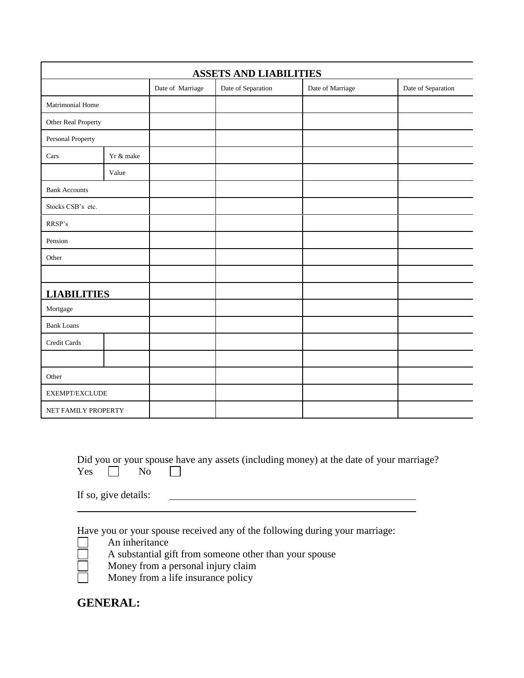| <b>ASSETS AND LIABILITIES</b> |           |                  |                    |                  |                    |  |
|-------------------------------|-----------|------------------|--------------------|------------------|--------------------|--|
|                               |           | Date of Marriage | Date of Separation | Date of Marriage | Date of Separation |  |
| Matrimonial Home              |           |                  |                    |                  |                    |  |
| Other Real Property           |           |                  |                    |                  |                    |  |
| Personal Property             |           |                  |                    |                  |                    |  |
| Cars                          | Yr & make |                  |                    |                  |                    |  |
|                               | Value     |                  |                    |                  |                    |  |
| <b>Bank Accounts</b>          |           |                  |                    |                  |                    |  |
| Stocks CSB's etc.             |           |                  |                    |                  |                    |  |
| RRSP's                        |           |                  |                    |                  |                    |  |
| Pension                       |           |                  |                    |                  |                    |  |
| Other                         |           |                  |                    |                  |                    |  |
|                               |           |                  |                    |                  |                    |  |
| <b>LIABILITIES</b>            |           |                  |                    |                  |                    |  |
| Mortgage                      |           |                  |                    |                  |                    |  |
| <b>Bank Loans</b>             |           |                  |                    |                  |                    |  |
| Credit Cards                  |           |                  |                    |                  |                    |  |
|                               |           |                  |                    |                  |                    |  |
| Other                         |           |                  |                    |                  |                    |  |
| EXEMPT/EXCLUDE                |           |                  |                    |                  |                    |  |
| NET FAMILY PROPERTY           |           |                  |                    |                  |                    |  |

|                   |  | Did you or your spouse have any assets (including money) at the date of your marriage? |  |  |
|-------------------|--|----------------------------------------------------------------------------------------|--|--|
| $Yes \t No \t \t$ |  |                                                                                        |  |  |

If so, give details:

Have you or your spouse received any of the following during your marriage:

- An inheritance
	- A substantial gift from someone other than your spouse
- Money from a personal injury claim
- Money from a life insurance policy

**GENERAL:**